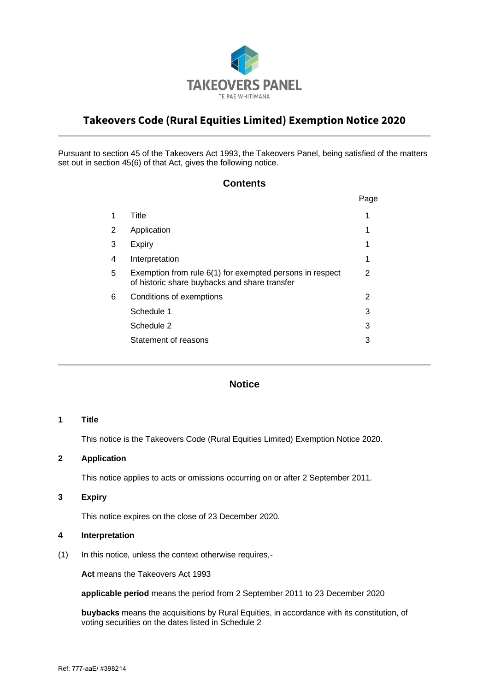

# **Takeovers Code (Rural Equities Limited) Exemption Notice 2020**

Pursuant to section 45 of the Takeovers Act 1993, the Takeovers Panel, being satisfied of the matters set out in section 45(6) of that Act, gives the following notice.

# **Contents**

|   |                                                                                                           | Page |
|---|-----------------------------------------------------------------------------------------------------------|------|
| 1 | Title                                                                                                     |      |
| 2 | Application                                                                                               |      |
| 3 | Expiry                                                                                                    |      |
| 4 | Interpretation                                                                                            | 1    |
| 5 | Exemption from rule 6(1) for exempted persons in respect<br>of historic share buybacks and share transfer | 2    |
| 6 | Conditions of exemptions                                                                                  | 2    |
|   | Schedule 1                                                                                                | 3    |
|   | Schedule 2                                                                                                | 3    |
|   | Statement of reasons                                                                                      | 3    |
|   |                                                                                                           |      |

# **Notice**

#### **1 Title**

This notice is the Takeovers Code (Rural Equities Limited) Exemption Notice 2020.

#### **2 Application**

This notice applies to acts or omissions occurring on or after 2 September 2011.

#### **3 Expiry**

This notice expires on the close of 23 December 2020.

## **4 Interpretation**

(1) In this notice, unless the context otherwise requires,-

**Act** means the Takeovers Act 1993

**applicable period** means the period from 2 September 2011 to 23 December 2020

**buybacks** means the acquisitions by Rural Equities, in accordance with its constitution, of voting securities on the dates listed in Schedule 2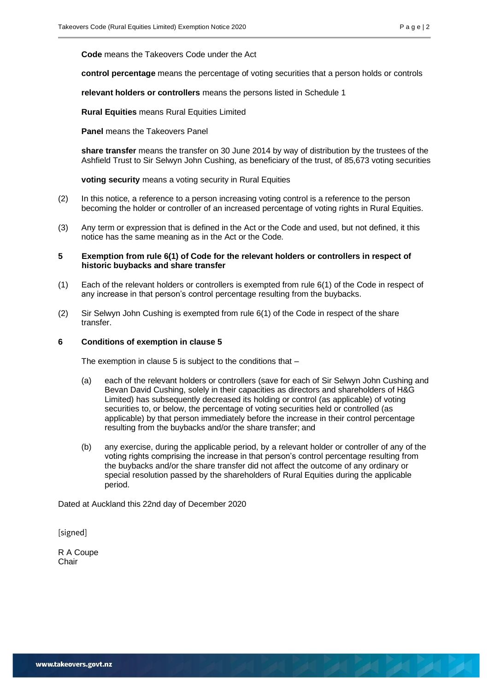20 20 20 20 21

**Code** means the Takeovers Code under the Act

**control percentage** means the percentage of voting securities that a person holds or controls

**relevant holders or controllers** means the persons listed in Schedule 1

**Rural Equities** means Rural Equities Limited

**Panel** means the Takeovers Panel

**share transfer** means the transfer on 30 June 2014 by way of distribution by the trustees of the Ashfield Trust to Sir Selwyn John Cushing, as beneficiary of the trust, of 85,673 voting securities

**voting security** means a voting security in Rural Equities

- (2) In this notice, a reference to a person increasing voting control is a reference to the person becoming the holder or controller of an increased percentage of voting rights in Rural Equities.
- (3) Any term or expression that is defined in the Act or the Code and used, but not defined, it this notice has the same meaning as in the Act or the Code.

#### **5 Exemption from rule 6(1) of Code for the relevant holders or controllers in respect of historic buybacks and share transfer**

- (1) Each of the relevant holders or controllers is exempted from rule 6(1) of the Code in respect of any increase in that person's control percentage resulting from the buybacks.
- (2) Sir Selwyn John Cushing is exempted from rule 6(1) of the Code in respect of the share transfer.

#### **6 Conditions of exemption in clause 5**

The exemption in clause 5 is subject to the conditions that  $-$ 

- (a) each of the relevant holders or controllers (save for each of Sir Selwyn John Cushing and Bevan David Cushing, solely in their capacities as directors and shareholders of H&G Limited) has subsequently decreased its holding or control (as applicable) of voting securities to, or below, the percentage of voting securities held or controlled (as applicable) by that person immediately before the increase in their control percentage resulting from the buybacks and/or the share transfer; and
- (b) any exercise, during the applicable period, by a relevant holder or controller of any of the voting rights comprising the increase in that person's control percentage resulting from the buybacks and/or the share transfer did not affect the outcome of any ordinary or special resolution passed by the shareholders of Rural Equities during the applicable period.

Dated at Auckland this 22nd day of December 2020

[signed]

R A Coupe **Chair**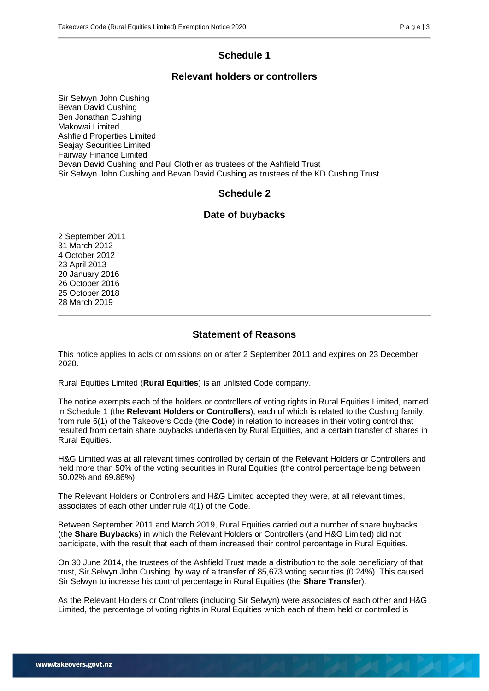# **Schedule 1**

## **Relevant holders or controllers**

Sir Selwyn John Cushing Bevan David Cushing Ben Jonathan Cushing Makowai Limited Ashfield Properties Limited Seajay Securities Limited Fairway Finance Limited Bevan David Cushing and Paul Clothier as trustees of the Ashfield Trust Sir Selwyn John Cushing and Bevan David Cushing as trustees of the KD Cushing Trust

# **Schedule 2**

#### **Date of buybacks**

# **Statement of Reasons**

This notice applies to acts or omissions on or after 2 September 2011 and expires on 23 December 2020.

Rural Equities Limited (**Rural Equities**) is an unlisted Code company.

The notice exempts each of the holders or controllers of voting rights in Rural Equities Limited, named in Schedule 1 (the **Relevant Holders or Controllers**), each of which is related to the Cushing family, from rule 6(1) of the Takeovers Code (the **Code**) in relation to increases in their voting control that resulted from certain share buybacks undertaken by Rural Equities, and a certain transfer of shares in Rural Equities.

H&G Limited was at all relevant times controlled by certain of the Relevant Holders or Controllers and held more than 50% of the voting securities in Rural Equities (the control percentage being between 50.02% and 69.86%).

The Relevant Holders or Controllers and H&G Limited accepted they were, at all relevant times, associates of each other under rule 4(1) of the Code.

Between September 2011 and March 2019, Rural Equities carried out a number of share buybacks (the **Share Buybacks**) in which the Relevant Holders or Controllers (and H&G Limited) did not participate, with the result that each of them increased their control percentage in Rural Equities.

On 30 June 2014, the trustees of the Ashfield Trust made a distribution to the sole beneficiary of that trust, Sir Selwyn John Cushing, by way of a transfer of 85,673 voting securities (0.24%). This caused Sir Selwyn to increase his control percentage in Rural Equities (the **Share Transfer**).

As the Relevant Holders or Controllers (including Sir Selwyn) were associates of each other and H&G Limited, the percentage of voting rights in Rural Equities which each of them held or controlled is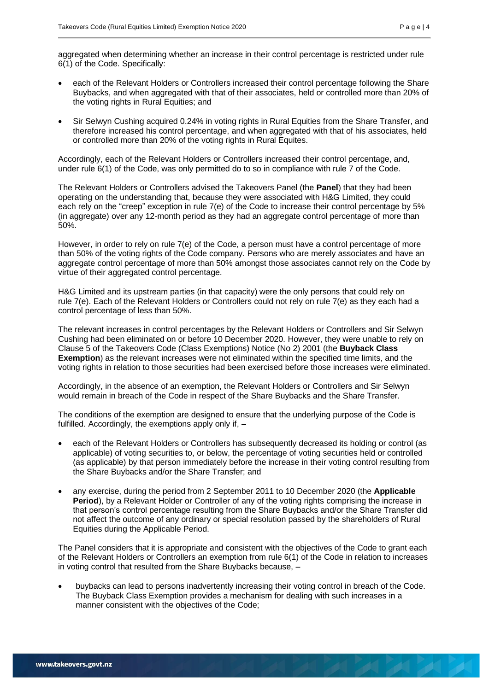- each of the Relevant Holders or Controllers increased their control percentage following the Share Buybacks, and when aggregated with that of their associates, held or controlled more than 20% of the voting rights in Rural Equities; and
- Sir Selwyn Cushing acquired 0.24% in voting rights in Rural Equities from the Share Transfer, and therefore increased his control percentage, and when aggregated with that of his associates, held or controlled more than 20% of the voting rights in Rural Equites.

Accordingly, each of the Relevant Holders or Controllers increased their control percentage, and, under rule 6(1) of the Code, was only permitted do to so in compliance with rule 7 of the Code.

The Relevant Holders or Controllers advised the Takeovers Panel (the **Panel**) that they had been operating on the understanding that, because they were associated with H&G Limited, they could each rely on the "creep" exception in rule 7(e) of the Code to increase their control percentage by 5% (in aggregate) over any 12-month period as they had an aggregate control percentage of more than 50%.

However, in order to rely on rule 7(e) of the Code, a person must have a control percentage of more than 50% of the voting rights of the Code company. Persons who are merely associates and have an aggregate control percentage of more than 50% amongst those associates cannot rely on the Code by virtue of their aggregated control percentage.

H&G Limited and its upstream parties (in that capacity) were the only persons that could rely on rule 7(e). Each of the Relevant Holders or Controllers could not rely on rule 7(e) as they each had a control percentage of less than 50%.

The relevant increases in control percentages by the Relevant Holders or Controllers and Sir Selwyn Cushing had been eliminated on or before 10 December 2020. However, they were unable to rely on Clause 5 of the Takeovers Code (Class Exemptions) Notice (No 2) 2001 (the **Buyback Class Exemption**) as the relevant increases were not eliminated within the specified time limits, and the voting rights in relation to those securities had been exercised before those increases were eliminated.

Accordingly, in the absence of an exemption, the Relevant Holders or Controllers and Sir Selwyn would remain in breach of the Code in respect of the Share Buybacks and the Share Transfer.

The conditions of the exemption are designed to ensure that the underlying purpose of the Code is fulfilled. Accordingly, the exemptions apply only if, –

- each of the Relevant Holders or Controllers has subsequently decreased its holding or control (as applicable) of voting securities to, or below, the percentage of voting securities held or controlled (as applicable) by that person immediately before the increase in their voting control resulting from the Share Buybacks and/or the Share Transfer; and
- any exercise, during the period from 2 September 2011 to 10 December 2020 (the **Applicable Period**), by a Relevant Holder or Controller of any of the voting rights comprising the increase in that person's control percentage resulting from the Share Buybacks and/or the Share Transfer did not affect the outcome of any ordinary or special resolution passed by the shareholders of Rural Equities during the Applicable Period.

The Panel considers that it is appropriate and consistent with the objectives of the Code to grant each of the Relevant Holders or Controllers an exemption from rule 6(1) of the Code in relation to increases in voting control that resulted from the Share Buybacks because, –

• buybacks can lead to persons inadvertently increasing their voting control in breach of the Code. The Buyback Class Exemption provides a mechanism for dealing with such increases in a manner consistent with the objectives of the Code;